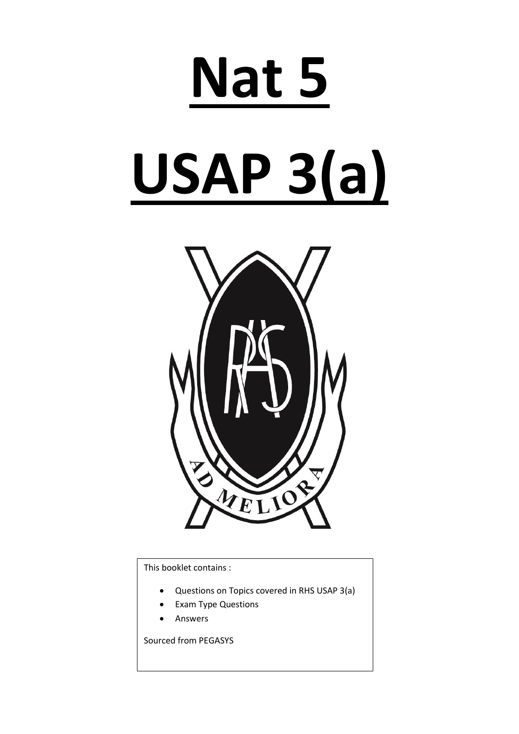# **Nat 5**

# **USAP 3(a)**



This booklet contains :

- Questions on Topics covered in RHS USAP 3(a)
- Exam Type Questions
- Answers

Sourced from PEGASYS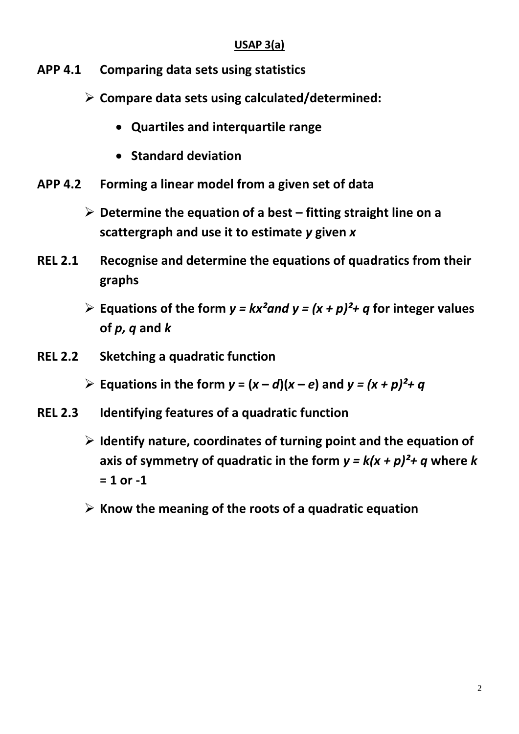## **USAP 3(a)**

- **APP 4.1 Comparing data sets using statistics**
	- **Compare data sets using calculated/determined:**
		- **Quartiles and interquartile range**
		- **Standard deviation**
- **APP 4.2 Forming a linear model from a given set of data**
	- **Determine the equation of a best – fitting straight line on a scattergraph and use it to estimate** *y* **given** *x*
- **REL 2.1 Recognise and determine the equations of quadratics from their graphs** 
	- **Equations of the form**  $y = kx^2$  **and**  $y = (x + p)^2 + q$  **for integer values of** *p, q* **and** *k*
- **REL 2.2 Sketching a quadratic function**
	- $\triangleright$  Equations in the form  $y = (x d)(x e)$  and  $y = (x + p)^2 + q$
- **REL 2.3 Identifying features of a quadratic function**
	- **Identify nature, coordinates of turning point and the equation of**  axis of symmetry of quadratic in the form  $y = k(x + p)^2 + q$  where k **= 1 or -1**
	- **Know the meaning of the roots of a quadratic equation**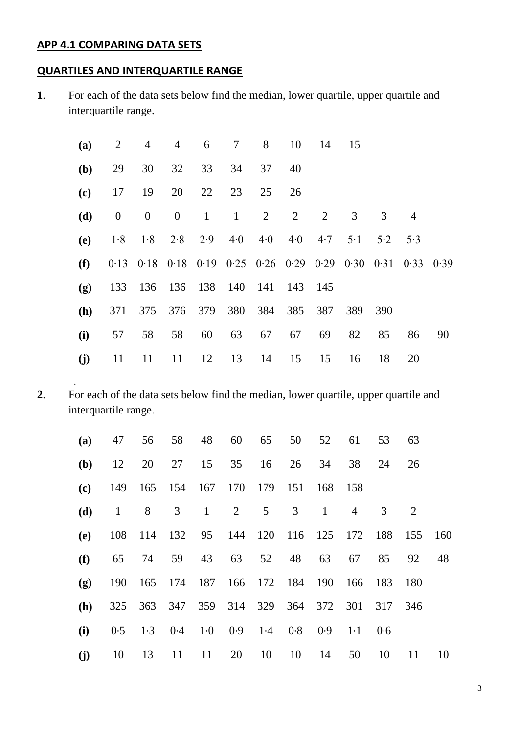## **APP 4.1 COMPARING DATA SETS**

.

## **QUARTILES AND INTERQUARTILE RANGE**

**1**. For each of the data sets below find the median, lower quartile, upper quartile and interquartile range.

| (a) | 2                | 4                                                           | $\overline{4}$ | 6            | $\tau$       | 8  | 10                        | 14  | 15          |                |                |    |
|-----|------------------|-------------------------------------------------------------|----------------|--------------|--------------|----|---------------------------|-----|-------------|----------------|----------------|----|
| (b) | 29               | 30                                                          | 32             | 33           | 34           | 37 | 40                        |     |             |                |                |    |
| (c) | 17               | 19                                                          | 20             | 22           | 23           | 25 | 26                        |     |             |                |                |    |
| (d) | $\boldsymbol{0}$ | $\boldsymbol{0}$                                            | $\overline{0}$ | $\mathbf{1}$ | $\mathbf{1}$ | 2  | 2                         | 2   | 3           | $\mathfrak{Z}$ | $\overline{4}$ |    |
| (e) | 1.8              | $1.8$ $2.8$ $2.9$ $4.0$                                     |                |              |              |    | $4.0 \quad 4.0 \quad 4.7$ |     | $5 \cdot 1$ | 5.2            | 5.3            |    |
| (f) |                  | 0.13 0.18 0.18 0.19 0.25 0.26 0.29 0.29 0.30 0.31 0.33 0.39 |                |              |              |    |                           |     |             |                |                |    |
| (g) | 133              | 136 136 138 140 141 143 145                                 |                |              |              |    |                           |     |             |                |                |    |
| (h) | 371              |                                                             | 375 376 379    |              |              |    | 380 384 385               | 387 | 389         | 390            |                |    |
| (i) | 57               | 58                                                          | 58             | 60           | 63           | 67 | 67                        | 69  | 82          | 85             | 86             | 90 |
| (j) | 11               | 11                                                          | 11             | 12           | 13           | 14 | 15                        | 15  | 16          | 18             | 20             |    |

**2**. For each of the data sets below find the median, lower quartile, upper quartile and interquartile range.

| (a) | 47           | 56                                     |    |                | 58 48 60 65 50                                                                      |                 |    | 52           | 61             | 53      | 63      |    |
|-----|--------------|----------------------------------------|----|----------------|-------------------------------------------------------------------------------------|-----------------|----|--------------|----------------|---------|---------|----|
| (b) | 12           | 20                                     | 27 |                | 15 35                                                                               | 16              | 26 | 34           | 38             | 24      | 26      |    |
| (c) |              | 149 165 154 167 170 179                |    |                |                                                                                     |                 |    | 151 168      | 158            |         |         |    |
| (d) | $\mathbf{1}$ | 8                                      | 3  | $\overline{1}$ | 2                                                                                   | $5\overline{)}$ | 3  | $\mathbf{1}$ | $\overline{4}$ | 3       | 2       |    |
| (e) |              | 108 114 132 95 144 120 116 125 172 188 |    |                |                                                                                     |                 |    |              |                |         | 155 160 |    |
| (f) | 65           | 74                                     | 59 | 43             | 63                                                                                  | 52              | 48 | 63           | 67             | 85      | 92      | 48 |
| (g) | 190          |                                        |    |                | 165 174 187 166 172 184 190 166                                                     |                 |    |              |                | 183     | 180     |    |
| (h) |              | 325 363 347 359 314 329 364 372 301    |    |                |                                                                                     |                 |    |              |                | 317 346 |         |    |
| (i) | 0.5          |                                        |    |                | $1 \cdot 3$ $0 \cdot 4$ $1 \cdot 0$ $0 \cdot 9$ $1 \cdot 4$ $0 \cdot 8$ $0 \cdot 9$ |                 |    |              | $1 \cdot 1$    | 0.6     |         |    |
| (j) | 10           | 13                                     | 11 | 11             | 20                                                                                  | 10              | 10 | 14           | 50             | 10      | 11      | 10 |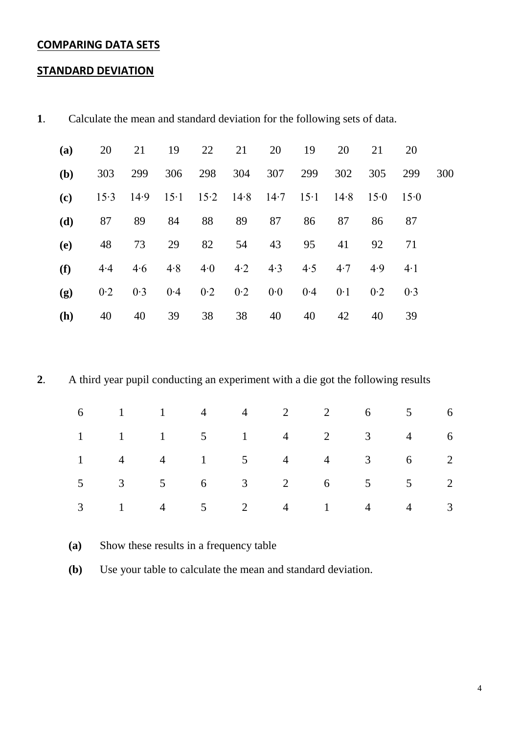## **COMPARING DATA SETS**

#### **STANDARD DEVIATION**

| (a) | 20   | 21   | 19           | 22  | 21                   | 20  | 19           | 20   | 21   | 20         |     |
|-----|------|------|--------------|-----|----------------------|-----|--------------|------|------|------------|-----|
| (b) | 303  | 299  | 306          | 298 | 304                  | 307 | 299          | 302  | 305  | 299        | 300 |
| (c) | 15.3 | 14.9 | $15 \cdot 1$ |     | $15.2$ $14.8$ $14.7$ |     | $15 \cdot 1$ | 14.8 | 15.0 | 15.0       |     |
| (d) | 87   | 89   | 84           | 88  | 89                   | 87  | 86           | 87   | 86   | 87         |     |
| (e) | 48   | 73   | 29           | 82  | 54                   | 43  | 95           | 41   | 92   | 71         |     |
| (f) | 4.4  | 4.6  | 4.8          | 4.0 | 4.2                  | 4.3 | 4.5          | 4.7  | 4.9  | $4\cdot 1$ |     |
| (g) | 0.2  | 0.3  | 0.4          | 0.2 | 0.2                  | 0.0 | 0.4          | 0.1  | 0.2  | 0.3        |     |
| (h) | 40   | 40   | 39           | 38  | 38                   | 40  | 40           | 42   | 40   | 39         |     |

**1**. Calculate the mean and standard deviation for the following sets of data.

**2**. A third year pupil conducting an experiment with a die got the following results

|  |  | $6 \t 1 \t 1 \t 4 \t 4 \t 2 \t 2 \t 6 \t 5 \t 6$ |  |  |
|--|--|--------------------------------------------------|--|--|
|  |  | $1 \t 1 \t 1 \t 5 \t 1 \t 4 \t 2 \t 3 \t 4 \t 6$ |  |  |
|  |  | $1 \t 4 \t 4 \t 1 \t 5 \t 4 \t 4 \t 3 \t 6 \t 2$ |  |  |
|  |  | $5 \t 3 \t 5 \t 6 \t 3 \t 2 \t 6 \t 5 \t 5 \t 2$ |  |  |
|  |  | $3 \t1 \t4 \t5 \t2 \t4 \t1 \t4 \t3$              |  |  |

**(a)** Show these results in a frequency table

**(b)** Use your table to calculate the mean and standard deviation.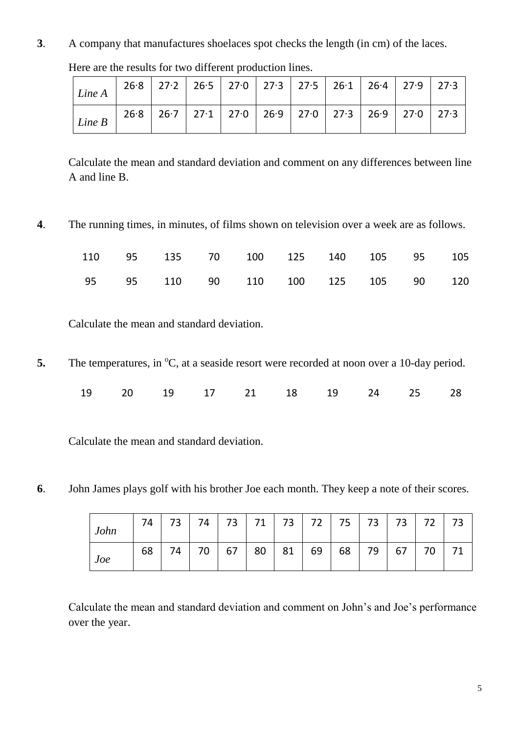**3**. A company that manufactures shoelaces spot checks the length (in cm) of the laces.

| Line A | $26.8$   27.2   26.5   27.0   27.3   27.5   26.1   26.4   27.9   27.3 |  |  |  |  |
|--------|-----------------------------------------------------------------------|--|--|--|--|
| Line B | $26.8$   26.7   27.1   27.0   26.9   27.0   27.3   26.9   27.0   27.3 |  |  |  |  |

Here are the results for two different production lines.

Calculate the mean and standard deviation and comment on any differences between line A and line B.

**4**. The running times, in minutes, of films shown on television over a week are as follows.

|  |  |  | 110  95  135  70  100  125  140  105  95  105 |  |
|--|--|--|-----------------------------------------------|--|
|  |  |  | 95 95 110 90 110 100 125 105 90 120           |  |

Calculate the mean and standard deviation.

**5.** The temperatures, in <sup>o</sup>C, at a seaside resort were recorded at noon over a 10-day period.

|  |  |  | 19 20 19 17 21 18 19 24 25 28 |  |
|--|--|--|-------------------------------|--|
|  |  |  |                               |  |

Calculate the mean and standard deviation.

**6**. John James plays golf with his brother Joe each month. They keep a note of their scores.

| John | 74 | 73 l | $74$ . |    | 73   71   73   72   75   73   73 |             |    |    |    |    | $\overline{72}$ |  |
|------|----|------|--------|----|----------------------------------|-------------|----|----|----|----|-----------------|--|
| Joe  | 68 | 74   | 70     | 67 |                                  | $80$   $81$ | 69 | 68 | 79 | 67 | 70              |  |

Calculate the mean and standard deviation and comment on John's and Joe's performance over the year.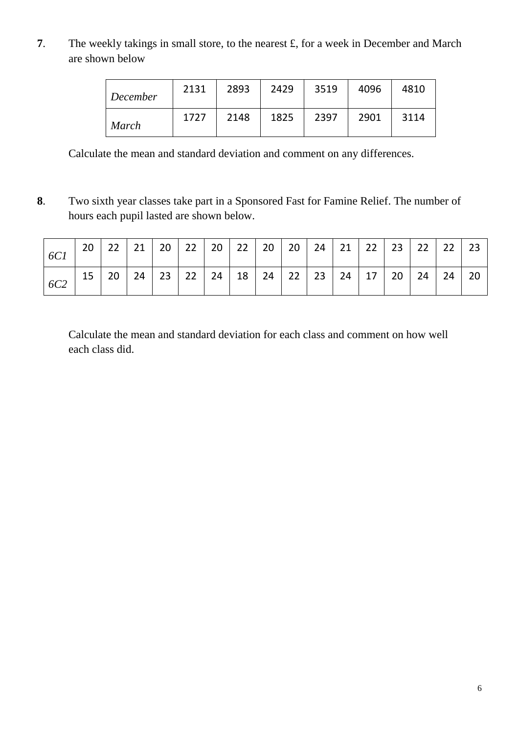**7**. The weekly takings in small store, to the nearest £, for a week in December and March are shown below

| December     | 2131 | 2893 | 2429 | 3519 | 4096 | 4810 |
|--------------|------|------|------|------|------|------|
| <b>March</b> | 1727 | 2148 | 1825 | 2397 | 2901 | 3114 |

Calculate the mean and standard deviation and comment on any differences.

**8**. Two sixth year classes take part in a Sponsored Fast for Famine Relief. The number of hours each pupil lasted are shown below.

| 6C1        | 20 | 22 | 21 | 20 <sup>1</sup> | 22 $\vert$      | 20   22   20 |           | $20 \mid 24 \mid$ | 21 | 22              | 23 | $22 \mid 22$ |                                                    | 23 |
|------------|----|----|----|-----------------|-----------------|--------------|-----------|-------------------|----|-----------------|----|--------------|----------------------------------------------------|----|
| <i>6C2</i> | 15 | 20 | 24 | $23 \mid$       | 22 <sup>1</sup> | 24           | $18$   24 | 22   23           | 24 | 17 <sup>1</sup> | 20 | 24           | $\begin{array}{ c c c c c } \hline \end{array}$ 24 | 20 |

Calculate the mean and standard deviation for each class and comment on how well each class did.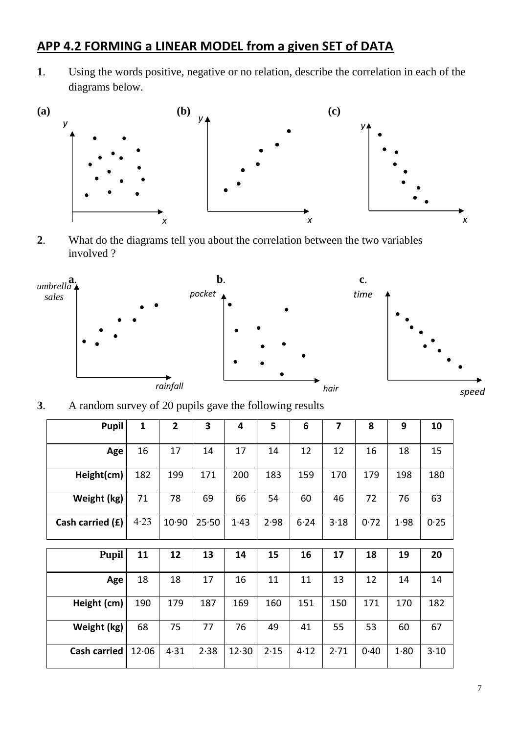# **APP 4.2 FORMING a LINEAR MODEL from a given SET of DATA**

**1**. Using the words positive, negative or no relation, describe the correlation in each of the diagrams below.



**2**. What do the diagrams tell you about the correlation between the two variables involved ?



**3**. A random survey of 20 pupils gave the following results

| Pupil               | $\mathbf{1}$ | $\overline{2}$ | 3     | 4     | 5    | 6    | $\overline{7}$ | 8    | 9    | 10   |
|---------------------|--------------|----------------|-------|-------|------|------|----------------|------|------|------|
| Age                 | 16           | 17             | 14    | 17    | 14   | 12   | 12             | 16   | 18   | 15   |
| Height(cm)          | 182          | 199            | 171   | 200   | 183  | 159  | 170            | 179  | 198  | 180  |
| Weight (kg)         | 71           | 78             | 69    | 66    | 54   | 60   | 46             | 72   | 76   | 63   |
| Cash carried (£)    | 4.23         | 10.90          | 25.50 | 1.43  | 2.98 | 6.24 | 3.18           | 0.72 | 1.98 | 0.25 |
|                     |              |                |       |       |      |      |                |      |      |      |
| <b>Pupil</b>        | 11           | 12             | 13    | 14    | 15   | 16   | 17             | 18   | 19   | 20   |
| Age                 | 18           | 18             | 17    | 16    | 11   | 11   | 13             | 12   | 14   | 14   |
| Height (cm)         | 190          | 179            | 187   | 169   | 160  | 151  | 150            | 171  | 170  | 182  |
| Weight (kg)         | 68           | 75             | 77    | 76    | 49   | 41   | 55             | 53   | 60   | 67   |
| <b>Cash carried</b> | 12.06        | 4.31           | 2.38  | 12.30 | 2.15 | 4.12 | 2.71           | 0.40 | 1.80 | 3.10 |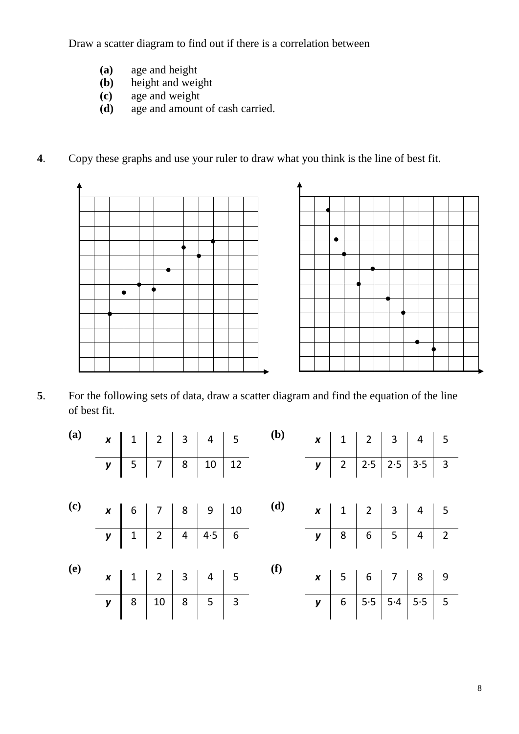Draw a scatter diagram to find out if there is a correlation between

- **(a)** age and height
- height and weight
- **(c)** age and weight
- **(d)** age and amount of cash carried.
- **4**. Copy these graphs and use your ruler to draw what you think is the line of best fit.



**5**. For the following sets of data, draw a scatter diagram and find the equation of the line of best fit.

| (a)                        |  |  | <b>x</b> 1 2 3 4 5<br><b>y</b> 5 7 8 10 12  | <b>(b)</b> |  | $\begin{array}{ c c c c c c }\hline \textbf{x} & 1 & 2 & 3 & 4 & 5 \\ \hline \textbf{y} & 2 & 2.5 & 2.5 & 3.5 & 3 \\ \hline \end{array}$ |  |  |
|----------------------------|--|--|---------------------------------------------|------------|--|------------------------------------------------------------------------------------------------------------------------------------------|--|--|
|                            |  |  |                                             |            |  |                                                                                                                                          |  |  |
|                            |  |  |                                             |            |  |                                                                                                                                          |  |  |
| $\left( \mathbf{c}\right)$ |  |  | <b>x</b> 6 7 8 9 10<br><b>y</b> 1 2 4 4 5 6 | (d)        |  | <b>x</b> 1 2 3 4 5<br><b>y</b> 8 6 5 4 2                                                                                                 |  |  |
|                            |  |  |                                             |            |  |                                                                                                                                          |  |  |
|                            |  |  |                                             |            |  |                                                                                                                                          |  |  |
| <b>(e)</b>                 |  |  | <b>x</b> 1 2 3 4 5<br><b>y</b> 8 10 8 5 3   | $\bf(f)$   |  | <b>x</b> 5 6 7 8 9<br><b>y</b> 6 5 5 5 4 5 5 5                                                                                           |  |  |
|                            |  |  |                                             |            |  |                                                                                                                                          |  |  |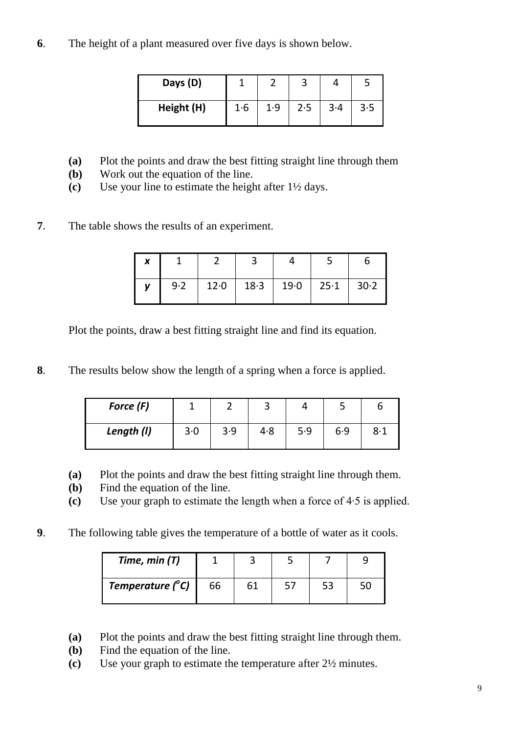**6**. The height of a plant measured over five days is shown below.

| Days (D)   |     |     |     |       |     |
|------------|-----|-----|-----|-------|-----|
| Height (H) | 1·6 | 1.9 | 2.5 | $3-4$ | 3.5 |

- **(a)** Plot the points and draw the best fitting straight line through them
- **(b)** Work out the equation of the line.
- **(c)** Use your line to estimate the height after 1½ days.

## **7**. The table shows the results of an experiment.

| X |     |      |                             |  |  |  |
|---|-----|------|-----------------------------|--|--|--|
|   | 9.2 | 12.0 | $18.3$   19.0   25.1   30.2 |  |  |  |

Plot the points, draw a best fitting straight line and find its equation.

**8**. The results below show the length of a spring when a force is applied.

| Force (F)  |     |     |     |     |     |     |
|------------|-----|-----|-----|-----|-----|-----|
| Length (I) | 3.0 | 3.9 | 4.8 | 5.9 | 6.9 | 8·1 |

- **(a)** Plot the points and draw the best fitting straight line through them.
- **(b)** Find the equation of the line.
- **(c)** Use your graph to estimate the length when a force of 4∙5 is applied.
- **9**. The following table gives the temperature of a bottle of water as it cools.

| Time, min $(T)$           |    |  |  |
|---------------------------|----|--|--|
| Temperature $(^{\circ}C)$ | 66 |  |  |

- **(a)** Plot the points and draw the best fitting straight line through them.
- **(b)** Find the equation of the line.
- **(c)** Use your graph to estimate the temperature after 2½ minutes.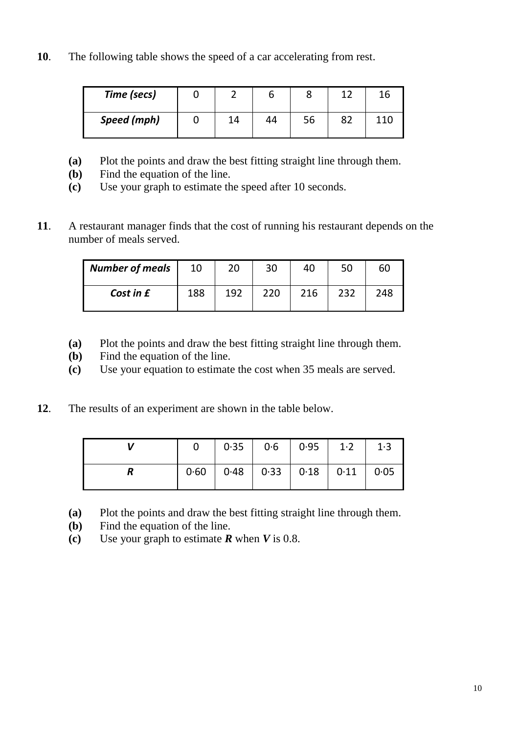**10**. The following table shows the speed of a car accelerating from rest.

| Time (secs)        |    |    |    |  |
|--------------------|----|----|----|--|
| <b>Speed (mph)</b> | 14 | 44 | 56 |  |

- **(a)** Plot the points and draw the best fitting straight line through them.
- **(b)** Find the equation of the line.
- **(c)** Use your graph to estimate the speed after 10 seconds.
- **11**. A restaurant manager finds that the cost of running his restaurant depends on the number of meals served.

| <b>Number of meals</b> | 10  | 20  | 30  | 40  | 50  | 60  |
|------------------------|-----|-----|-----|-----|-----|-----|
| Cost in £              | 188 | 192 | 220 | 216 | 232 | 248 |

- **(a)** Plot the points and draw the best fitting straight line through them.
- **(b)** Find the equation of the line.
- **(c)** Use your equation to estimate the cost when 35 meals are served.
- **12**. The results of an experiment are shown in the table below.

|  |  | $0 \mid 0.35 \mid 0.6 \mid 0.95 \mid 1.2 \mid 1.3$  |  |
|--|--|-----------------------------------------------------|--|
|  |  | $0.60$   $0.48$   $0.33$   $0.18$   $0.11$   $0.05$ |  |

- **(a)** Plot the points and draw the best fitting straight line through them.
- **(b)** Find the equation of the line.
- **(c)** Use your graph to estimate *R* when *V* is 0.8.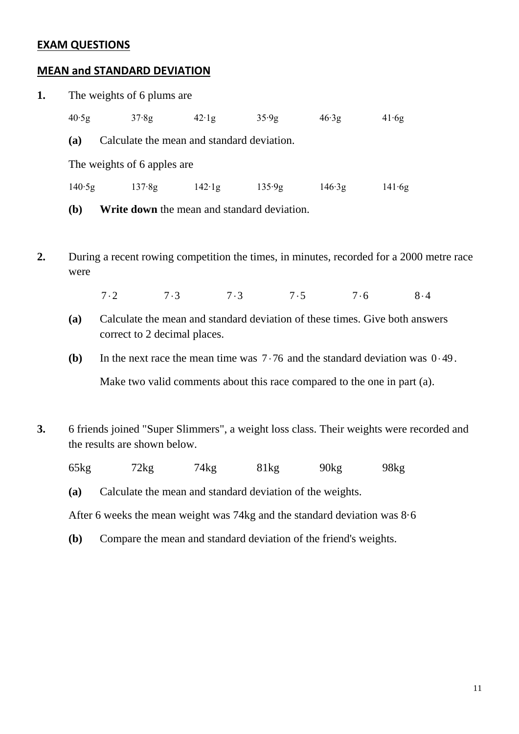#### **EXAM QUESTIONS**

#### **MEAN and STANDARD DEVIATION**

| 1. | The weights of 6 plums are                        |        |                |        |        |        |  |  |  |  |  |  |
|----|---------------------------------------------------|--------|----------------|--------|--------|--------|--|--|--|--|--|--|
|    | 40.5g                                             | 37.8g  | $42 \cdot 1g$  | 35.9g  | 46.3g  | 41.6g  |  |  |  |  |  |  |
|    | Calculate the mean and standard deviation.<br>(a) |        |                |        |        |        |  |  |  |  |  |  |
|    | The weights of 6 apples are                       |        |                |        |        |        |  |  |  |  |  |  |
|    | 140.5g                                            | 137.8g | $142 \cdot 1g$ | 135.9g | 146.3g | 141.6g |  |  |  |  |  |  |
|    |                                                   |        |                |        |        |        |  |  |  |  |  |  |

**(b) Write down** the mean and standard deviation.

**2.** During a recent rowing competition the times, in minutes, recorded for a 2000 metre race were

 $7.2$   $7.3$   $7.3$   $7.5$   $7.6$   $8.4$ 

- **(a)** Calculate the mean and standard deviation of these times. Give both answers correct to 2 decimal places.
- (b) In the next race the mean time was  $7 \cdot 76$  and the standard deviation was  $0 \cdot 49$ .

Make two valid comments about this race compared to the one in part (a).

**3.** 6 friends joined "Super Slimmers", a weight loss class. Their weights were recorded and the results are shown below.

65kg 72kg 74kg 81kg 90kg 98kg

**(a)** Calculate the mean and standard deviation of the weights.

After 6 weeks the mean weight was 74kg and the standard deviation was 8·6

**(b)** Compare the mean and standard deviation of the friend's weights.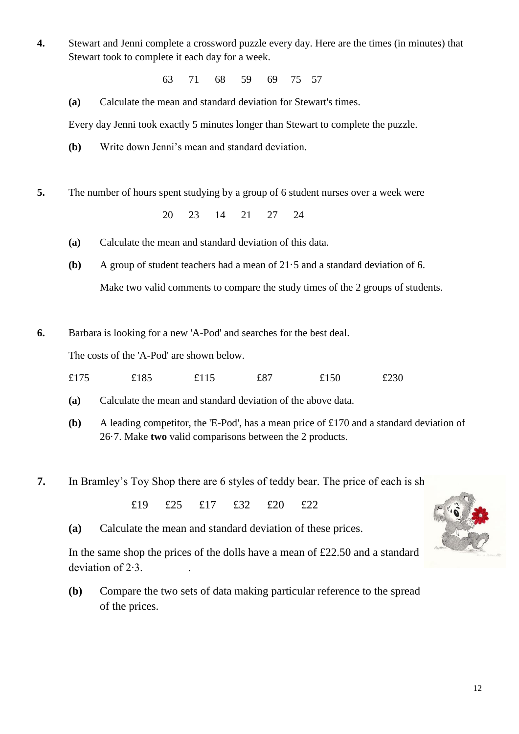- **4.** Stewart and Jenni complete a crossword puzzle every day. Here are the times (in minutes) that Stewart took to complete it each day for a week.
	- 63 71 68 59 69 75 57

**(a)** Calculate the mean and standard deviation for Stewart's times.

Every day Jenni took exactly 5 minutes longer than Stewart to complete the puzzle.

**(b)** Write down Jenni's mean and standard deviation.

**5.** The number of hours spent studying by a group of 6 student nurses over a week were

20 23 14 21 27 24

- **(a)** Calculate the mean and standard deviation of this data.
- **(b)** A group of student teachers had a mean of 21·5 and a standard deviation of 6. Make two valid comments to compare the study times of the 2 groups of students.
- **6.** Barbara is looking for a new 'A-Pod' and searches for the best deal.

The costs of the 'A-Pod' are shown below.

- £175 £185 £115 £87 £150 £230
- **(a)** Calculate the mean and standard deviation of the above data.
- **(b)** A leading competitor, the 'E-Pod', has a mean price of £170 and a standard deviation of 26·7. Make **two** valid comparisons between the 2 products.
- **7.** In Bramley's Toy Shop there are 6 styles of teddy bear. The price of each is sh

£19 £25 £17 £32 £20 £22

**(a)** Calculate the mean and standard deviation of these prices.

In the same shop the prices of the dolls have a mean of £22.50 and a standard deviation of 2∙3. .

**(b)** Compare the two sets of data making particular reference to the spread of the prices.

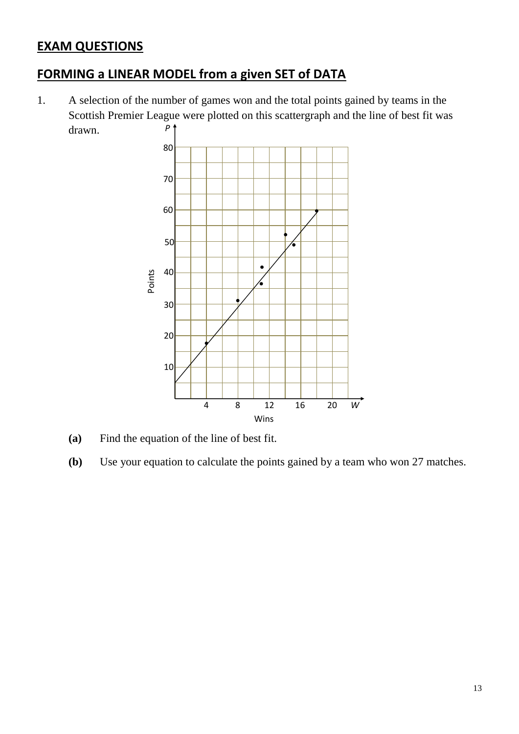# **EXAM QUESTIONS**

# **FORMING a LINEAR MODEL from a given SET of DATA**

1. A selection of the number of games won and the total points gained by teams in the Scottish Premier League were plotted on this scattergraph and the line of best fit was drawn. *P*



- **(a)** Find the equation of the line of best fit.
- **(b)** Use your equation to calculate the points gained by a team who won 27 matches.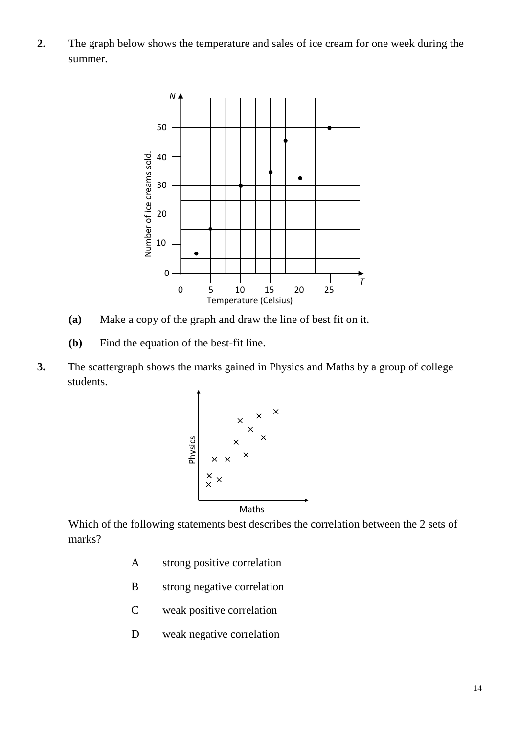**2.** The graph below shows the temperature and sales of ice cream for one week during the summer.



- **(a)** Make a copy of the graph and draw the line of best fit on it.
- **(b)** Find the equation of the best-fit line.
- **3.** The scattergraph shows the marks gained in Physics and Maths by a group of college students.



Which of the following statements best describes the correlation between the 2 sets of marks?

- A strong positive correlation
- B strong negative correlation
- C weak positive correlation
- D weak negative correlation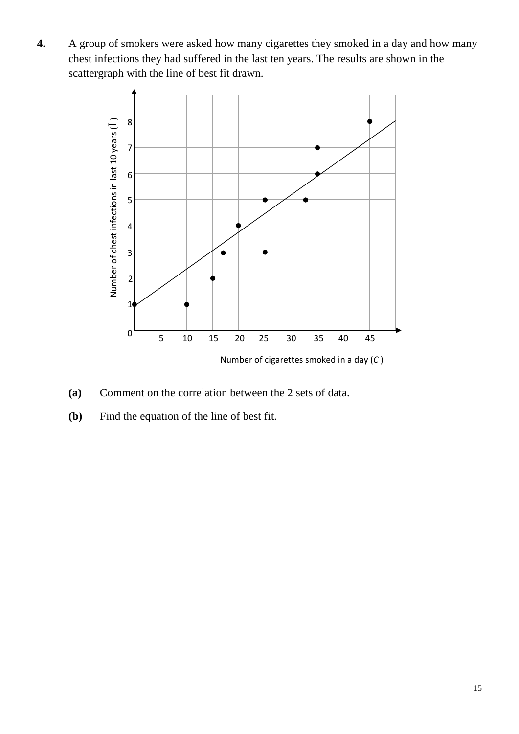**4.** A group of smokers were asked how many cigarettes they smoked in a day and how many chest infections they had suffered in the last ten years. The results are shown in the scattergraph with the line of best fit drawn.



- **(a)** Comment on the correlation between the 2 sets of data.
- **(b)** Find the equation of the line of best fit.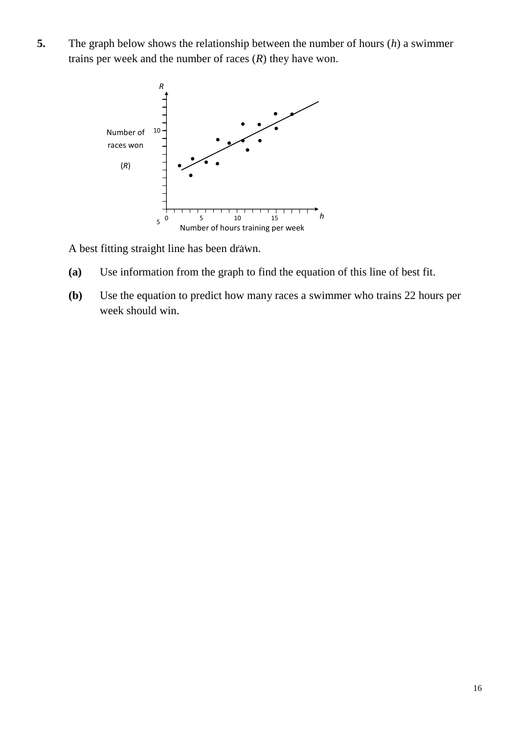**5.** The graph below shows the relationship between the number of hours (*h*) a swimmer trains per week and the number of races (*R*) they have won.



A best fitting straight line has been drawn.

- **(a)** Use information from the graph to find the equation of this line of best fit.
- **(b)** Use the equation to predict how many races a swimmer who trains 22 hours per week should win.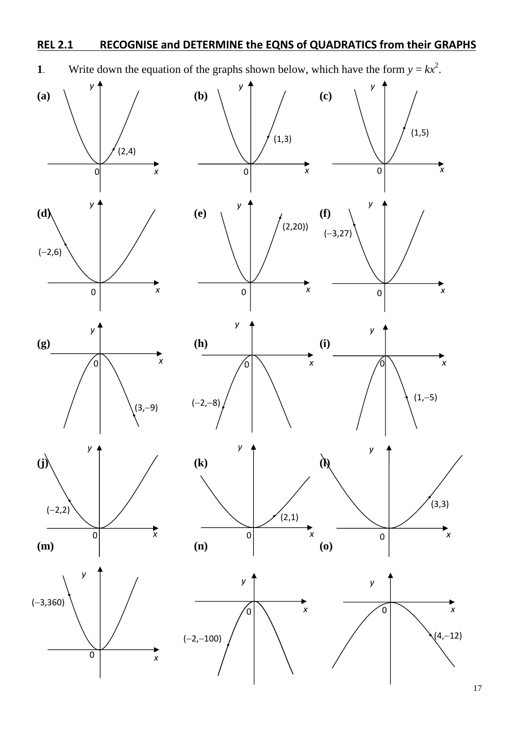## **REL 2.1 RECOGNISE and DETERMINE the EQNS of QUADRATICS from their GRAPHS**



**1**. Write down the equation of the graphs shown below, which have the form  $y = kx^2$ .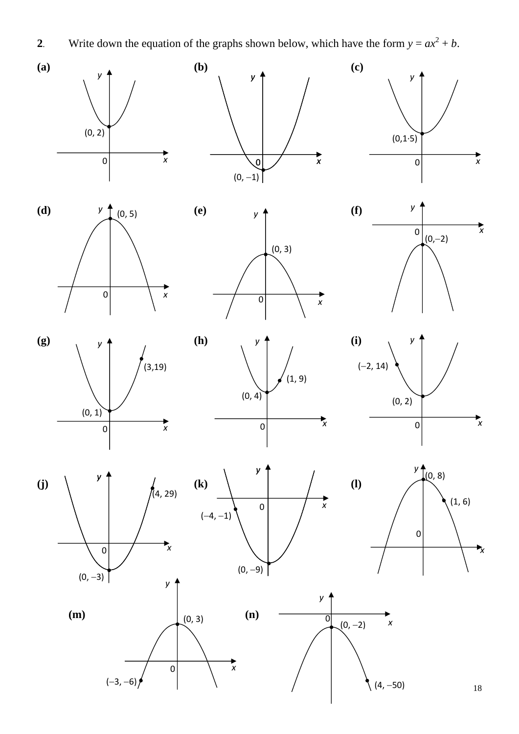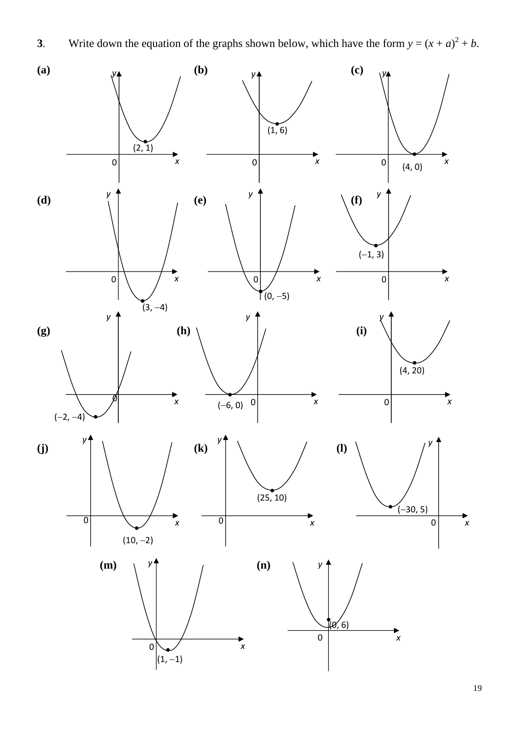

**3**. Write down the equation of the graphs shown below, which have the form  $y = (x + a)^2 + b$ .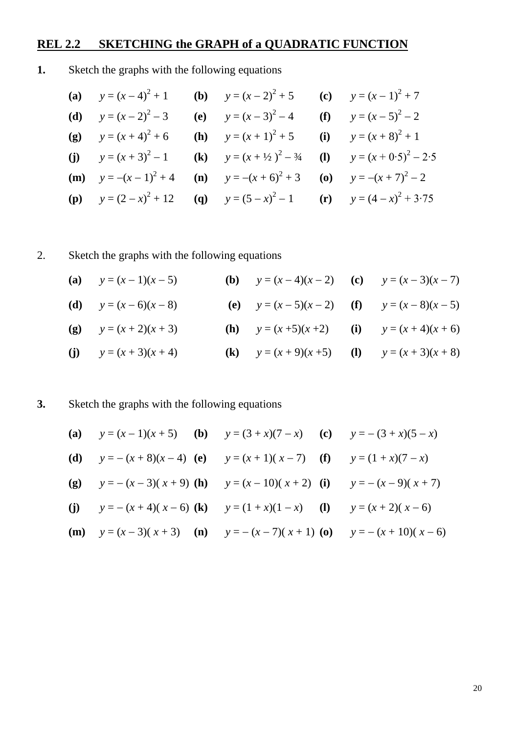## **REL 2.2 SKETCHING the GRAPH of a QUADRATIC FUNCTION**

## **1.** Sketch the graphs with the following equations

|  | (a) $y = (x-4)^2 + 1$ (b) $y = (x-2)^2 + 5$ (c) $y = (x-1)^2 + 7$                                      |                                                                                                 |
|--|--------------------------------------------------------------------------------------------------------|-------------------------------------------------------------------------------------------------|
|  | (d) $y = (x - 2)^2 - 3$ (e) $y = (x - 3)^2 - 4$ (f) $y = (x - 5)^2 - 2$                                |                                                                                                 |
|  | (g) $y = (x + 4)^2 + 6$ (h) $y = (x + 1)^2 + 5$ (i) $y = (x + 8)^2 + 1$                                |                                                                                                 |
|  |                                                                                                        | (j) $y = (x + 3)^2 - 1$ (k) $y = (x + \frac{1}{2})^2 - \frac{3}{4}$ (l) $y = (x + 0.5)^2 - 2.5$ |
|  |                                                                                                        | ( <b>m</b> ) $y = -(x-1)^2 + 4$ ( <b>n</b> ) $y = -(x+6)^2 + 3$ ( <b>o</b> ) $y = -(x+7)^2 - 2$ |
|  | ( <b>p</b> ) $y = (2 - x)^2 + 12$ ( <b>q</b> ) $y = (5 - x)^2 - 1$ ( <b>r</b> ) $y = (4 - x)^2 + 3.75$ |                                                                                                 |

# 2. Sketch the graphs with the following equations

| (a) $y=(x-1)(x-5)$       | <b>(b)</b> $y = (x-4)(x-2)$ <b>(c)</b> $y = (x-3)(x-7)$ |  |
|--------------------------|---------------------------------------------------------|--|
| (d) $y = (x - 6)(x - 8)$ | (e) $y = (x - 5)(x - 2)$ (f) $y = (x - 8)(x - 5)$       |  |
| (g) $y = (x + 2)(x + 3)$ | <b>(h)</b> $y = (x+5)(x+2)$ <b>(i)</b> $y = (x+4)(x+6)$ |  |
| (j) $y = (x + 3)(x + 4)$ | (k) $y = (x + 9)(x + 5)$ (l) $y = (x + 3)(x + 8)$       |  |

## **3.** Sketch the graphs with the following equations

| (a) $y = (x - 1)(x + 5)$ (b) $y = (3 + x)(7 - x)$ (c) $y = -(3 + x)(5 - x)$                  |  |
|----------------------------------------------------------------------------------------------|--|
| (d) $y = -(x + 8)(x-4)$ (e) $y = (x + 1)(x-7)$ (f) $y = (1 + x)(7 - x)$                      |  |
| (g) $y = -(x-3)(x+9)$ (h) $y = (x-10)(x+2)$ (i) $y = -(x-9)(x+7)$                            |  |
| (j) $y = -(x + 4)(x - 6)$ (k) $y = (1 + x)(1 - x)$ (l) $y = (x + 2)(x - 6)$                  |  |
| ( <b>m</b> ) $y = (x-3)(x+3)$ ( <b>n</b> ) $y = -(x-7)(x+1)$ ( <b>o</b> ) $y = -(x+10)(x-6)$ |  |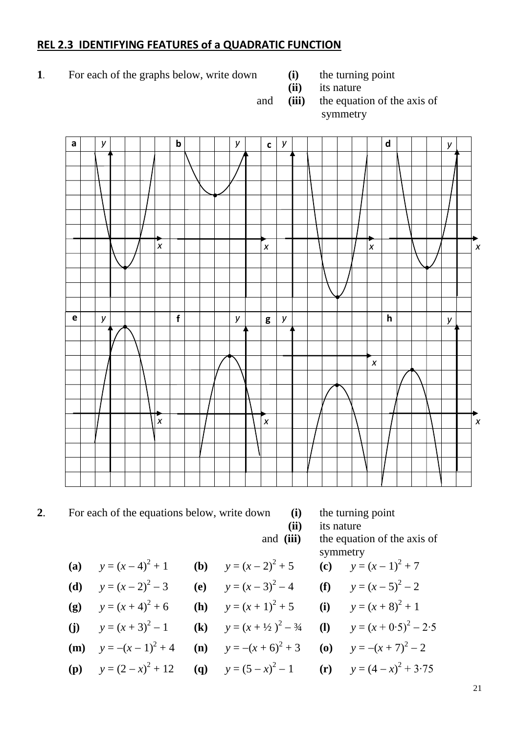#### **REL 2.3 IDENTIFYING FEATURES of a QUADRATIC FUNCTION**

- **1**. For each of the graphs below, write down **(i)** the turning point
- - **(ii)** its nature
	- and **(iii)** the equation of the axis of symmetry



# **2**. For each of the equations below, write down **(i)** the turning point

**(ii)** its nature

and **(iii)** the equation of the axis of

- (a)  $y = (x-4)^2 + 1$ **(b)**  $y = (x - 2)^2 + 5$
- **(d)**  $y = (x 2)^2 3$ (e)  $y = (x - 3)^2 - 4$
- **(g)**  $y = (x + 4)^2 + 6$ **(h)**  $y = (x + 1)^2 + 5$
- (i)  $y = (x + 3)^2 1$ **(k)**  $y = (x + \frac{1}{2})^2 - \frac{3}{4}$
- **(m)**  $y = -(x 1)^2 + 4$ **(n)**  $y = -(x+6)^2 + 3$
- **(p)**  $y = (2 x)^2$
- symmetry + 5 **(c)**  $y = (x - 1)^2 + 7$
- $-4$  (f)  $y=(x-5)^2-2$
- + 5 **(i)**  $y = (x+8)^2 + 1$ 
	- $-3/4$  **(l)**  $y = (x + 0.5)^2 2.5$
	- $+3$  **(o)**  $y = -(x + 7)^2 2$

+ 12 (q) 
$$
y = (5 - x)^2 - 1
$$
 (r)  $y = (4 - x)^2 + 3.75$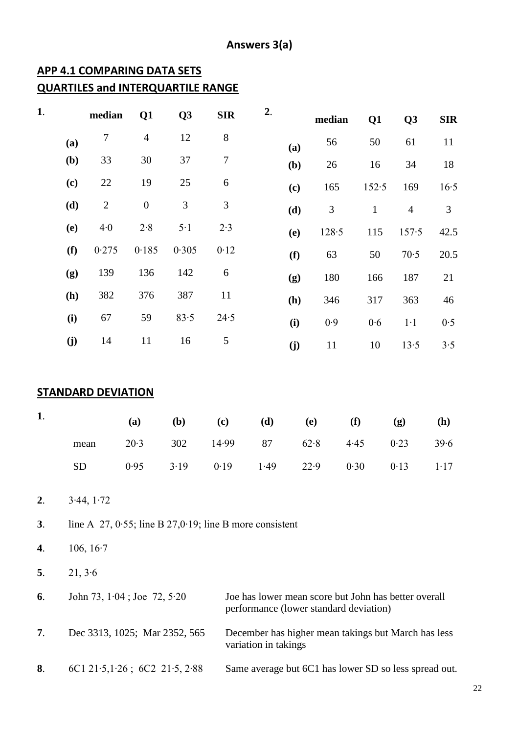## **APP 4.1 COMPARING DATA SETS QUARTILES and INTERQUARTILE RANGE**

| 1. |            | median                    | Q1                               | Q <sub>3</sub> | <b>SIR</b>                                                     | 2.                   |     | median                      | Q1                                                                                             | Q <sub>3</sub> | <b>SIR</b>   |
|----|------------|---------------------------|----------------------------------|----------------|----------------------------------------------------------------|----------------------|-----|-----------------------------|------------------------------------------------------------------------------------------------|----------------|--------------|
|    | (a)        | $\tau$                    | $\overline{4}$                   | 12             | $8\,$                                                          |                      | (a) | 56                          | 50                                                                                             | 61             | 11           |
|    | (b)        | 33                        | 30                               | 37             | $\boldsymbol{7}$                                               |                      | (b) | 26                          | 16                                                                                             | 34             | 18           |
|    | (c)        | 22                        | 19                               | 25             | 6                                                              |                      | (c) | 165                         | 152.5                                                                                          | 169            | 16.5         |
|    | (d)        | $\sqrt{2}$                | $\boldsymbol{0}$                 | $\mathfrak{Z}$ | 3                                                              |                      | (d) | $\ensuremath{\mathfrak{Z}}$ | $\mathbf{1}$                                                                                   | $\overline{4}$ | 3            |
|    | <b>(e)</b> | 4·0                       | $2.8$                            | $5·1$          | $2.3$                                                          |                      | (e) | 128.5                       | 115                                                                                            | 157.5          | 42.5         |
|    | (f)        | 0.275                     | 0.185                            | 0.305          | 0.12                                                           |                      | (f) | 63                          | 50                                                                                             | 70.5           | 20.5         |
|    | (g)        | 139                       | 136                              | 142            | 6                                                              |                      | (g) | 180                         | 166                                                                                            | 187            | 21           |
|    | (h)        | 382                       | 376                              | 387            | 11                                                             |                      | (h) | 346                         | 317                                                                                            | 363            | 46           |
|    | (i)        | 67                        | 59                               | 83.5           | 24.5                                                           |                      | (i) | $0.9$                       | 0.6                                                                                            | $1·1$          | 0.5          |
|    | (j)        | 14                        | 11                               | 16             | 5                                                              |                      | (j) | 11                          | 10                                                                                             | 13.5           | 3.5          |
| 1. |            | <b>STANDARD DEVIATION</b> | (a)                              | (b)            | (c)                                                            | (d)                  |     | <b>(e)</b>                  | (f)                                                                                            | (g)            | ( <b>h</b> ) |
|    |            | mean                      | 20.3                             | 302            | 14.99                                                          | 87                   |     | 62.8                        | 4.45                                                                                           | 0.23           | 39.6         |
|    | ${\rm SD}$ |                           | 0.95                             | 3.19           | 0.19                                                           | 1.49                 |     | 22.9                        | 0.30                                                                                           | 0.13           | 1.17         |
| 2. |            | 3.44, 1.72                |                                  |                |                                                                |                      |     |                             |                                                                                                |                |              |
| 3. |            |                           |                                  |                | line A $27, 0.55$ ; line B $27, 0.19$ ; line B more consistent |                      |     |                             |                                                                                                |                |              |
| 4. |            | 106, $16-7$               |                                  |                |                                                                |                      |     |                             |                                                                                                |                |              |
| 5. | 21, 3.6    |                           |                                  |                |                                                                |                      |     |                             |                                                                                                |                |              |
| 6. |            |                           | John 73, $1.04$ ; Joe 72, $5.20$ |                |                                                                |                      |     |                             | Joe has lower mean score but John has better overall<br>performance (lower standard deviation) |                |              |
| 7. |            |                           | Dec 3313, 1025; Mar 2352, 565    |                |                                                                | variation in takings |     |                             | December has higher mean takings but March has less                                            |                |              |
| 8. |            |                           | 6C1 21.5, 1.26; 6C2 21.5, 2.88   |                |                                                                |                      |     |                             | Same average but 6C1 has lower SD so less spread out.                                          |                |              |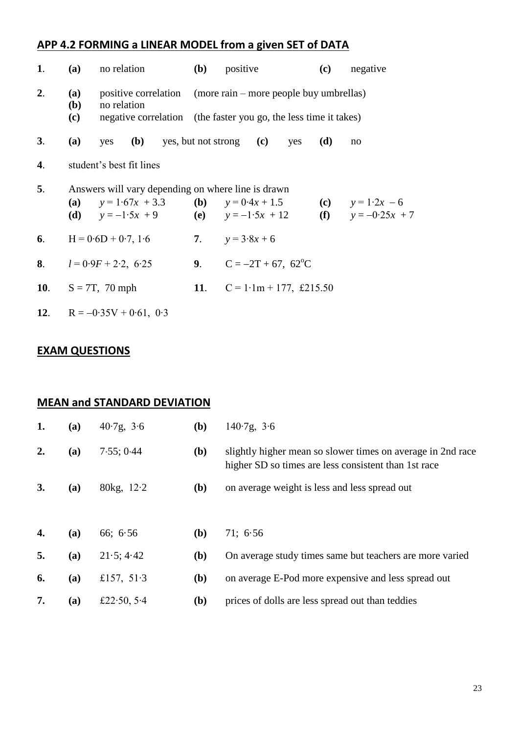## **APP 4.2 FORMING a LINEAR MODEL from a given SET of DATA**

| 1. | (a)                                                                                                                                                                                        | no relation               |  |                               | <b>(b)</b>                                                                                                                       | positive                          |                                |     | (c) | negative |  |  |
|----|--------------------------------------------------------------------------------------------------------------------------------------------------------------------------------------------|---------------------------|--|-------------------------------|----------------------------------------------------------------------------------------------------------------------------------|-----------------------------------|--------------------------------|-----|-----|----------|--|--|
| 2. | <b>(a)</b><br><b>(b)</b><br>(c)                                                                                                                                                            | no relation               |  |                               | positive correlation (more rain – more people buy umbrellas)<br>negative correlation (the faster you go, the less time it takes) |                                   |                                |     |     |          |  |  |
| 3. | (a)                                                                                                                                                                                        | yes                       |  | (b) yes, but not strong $(c)$ |                                                                                                                                  |                                   |                                | yes | (d) | no       |  |  |
| 4. |                                                                                                                                                                                            | student's best fit lines  |  |                               |                                                                                                                                  |                                   |                                |     |     |          |  |  |
| 5. | Answers will vary depending on where line is drawn<br>(a) $y = 1.67x + 3.3$ (b) $y = 0.4x + 1.5$<br>(c) $y = 1.2x - 6$<br>(f) $y = -0.25x + 7$<br>(d) $y = -1.5x + 9$ (e) $y = -1.5x + 12$ |                           |  |                               |                                                                                                                                  |                                   |                                |     |     |          |  |  |
| 6. | $H = 0.6D + 0.7, 1.6$                                                                                                                                                                      |                           |  |                               | 7. $y = 3.8x + 6$                                                                                                                |                                   |                                |     |     |          |  |  |
|    |                                                                                                                                                                                            | 8. $l = 0.9F + 2.2, 6.25$ |  |                               |                                                                                                                                  | 9. $C = -2T + 67$ , $62^{\circ}C$ |                                |     |     |          |  |  |
|    | 10. $S = 7T$ , 70 mph                                                                                                                                                                      |                           |  |                               |                                                                                                                                  |                                   | 11. $C = 1.1m + 177$ , £215.50 |     |     |          |  |  |
|    |                                                                                                                                                                                            |                           |  |                               |                                                                                                                                  |                                   |                                |     |     |          |  |  |

**12.** R =  $-0.35V + 0.61$ , 0⋅3

## **EXAM QUESTIONS**

#### **MEAN and STANDARD DEVIATION**

| 1. | <b>(a)</b> | 40.7g, 3.6     | (b)          | $140.7g$ , $3.6$                                                                                                    |
|----|------------|----------------|--------------|---------------------------------------------------------------------------------------------------------------------|
| 2. | (a)        | 7.55; 0.44     | ( <b>b</b> ) | slightly higher mean so slower times on average in 2nd race<br>higher SD so times are less consistent than 1st race |
| 3. | (a)        | 80 $kg$ , 12.2 | <b>(b)</b>   | on average weight is less and less spread out                                                                       |
|    |            |                |              |                                                                                                                     |
| 4. | (a)        | 66; 6.56       | ( <b>b</b> ) | 71:6.56                                                                                                             |
| 5. | (a)        | 21.5; 4.42     | ( <b>b</b> ) | On average study times same but teachers are more varied                                                            |
| 6. | (a)        | £157, 51.3     | ( <b>b</b> ) | on average E-Pod more expensive and less spread out                                                                 |
| 7. | (a)        | £22.50, 5.4    | (b)          | prices of dolls are less spread out than teddies                                                                    |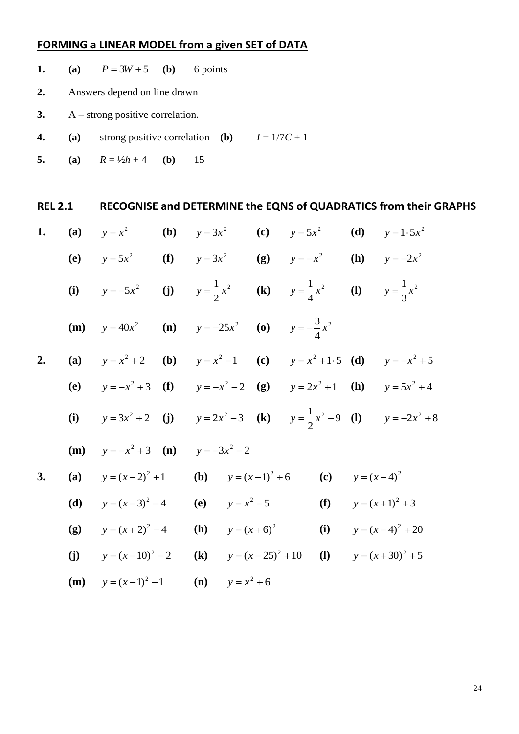## **FORMING a LINEAR MODEL from a given SET of DATA**

- **1. (a)**  $P = 3W + 5$ **(b)** 6 points
- **2.** Answers depend on line drawn
- **3.** A strong positive correlation.
- **4. (a)** strong positive correlation **(b)**  $I = 1/7C + 1$
- **5. (a)**  $R = \frac{1}{2}h + 4$  **(b)** 15

| <b>REL 2.1</b> |     |                                                                                            |  |                            |                            |     | RECOGNISE and DETERMINE the EQNS of QUADRATICS from their GRAPHS |
|----------------|-----|--------------------------------------------------------------------------------------------|--|----------------------------|----------------------------|-----|------------------------------------------------------------------|
| 1.             | (a) | $y = x^2$ (b) $y = 3x^2$ (c) $y = 5x^2$ (d)                                                |  |                            |                            |     | $y = 1.5x^2$                                                     |
|                |     | (e) $y = 5x^2$ (f) $y = 3x^2$ (g) $y = -x^2$ (h) $y = -2x^2$                               |  |                            |                            |     |                                                                  |
|                |     | (i) $y = -5x^2$ (j) $y = \frac{1}{2}x^2$ (k) $y = \frac{1}{4}x^2$ (l) $y = \frac{1}{3}x^2$ |  |                            |                            |     |                                                                  |
|                | (m) | $y = 40x^2$ (n) $y = -25x^2$ (o) $y = -\frac{3}{4}x^2$                                     |  |                            |                            |     |                                                                  |
| 2.             | (a) | $y = x^2 + 2$ (b) $y = x^2 - 1$ (c) $y = x^2 + 1.5$ (d) $y = -x^2 + 5$                     |  |                            |                            |     |                                                                  |
|                |     | (e) $y = -x^2 + 3$ (f) $y = -x^2 - 2$ (g) $y = 2x^2 + 1$ (h) $y = 5x^2 + 4$                |  |                            |                            |     |                                                                  |
|                |     | (i) $y = 3x^2 + 2$ (j) $y = 2x^2 - 3$ (k) $y = \frac{1}{2}x^2 - 9$ (l) $y = -2x^2 + 8$     |  |                            |                            |     |                                                                  |
|                | (m) | $y = -x^2 + 3$ (n) $y = -3x^2 - 2$                                                         |  |                            |                            |     |                                                                  |
| 3.             | (a) | $y=(x-2)^2+1$ (b) $y=(x-1)^2+6$ (c) $y=(x-4)^2$                                            |  |                            |                            |     |                                                                  |
|                | (d) | $y = (x-3)^2 - 4$                                                                          |  | (e) $y = x^2 - 5$          |                            | (f) | $y=(x+1)^2+3$                                                    |
|                |     | (g) $y=(x+2)^2-4$                                                                          |  |                            | ( <b>h</b> ) $y = (x+6)^2$ | (i) | $y=(x-4)^2+20$                                                   |
|                |     | (j) $y=(x-10)^2-2$ (k) $y=(x-25)^2+10$                                                     |  |                            |                            |     | (1) $y = (x+30)^2 + 5$                                           |
|                |     | ( <b>m</b> ) $y = (x-1)^2 - 1$                                                             |  | ( <b>n</b> ) $y = x^2 + 6$ |                            |     |                                                                  |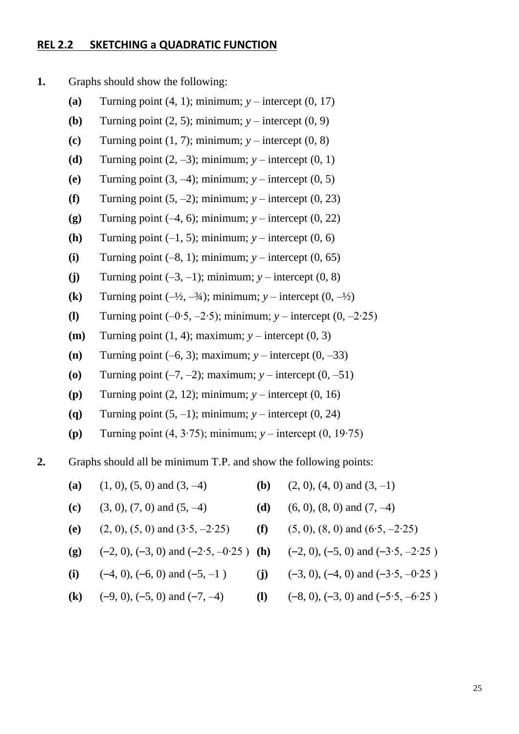#### **REL 2.2 SKETCHING a QUADRATIC FUNCTION**

**1.** Graphs should show the following:

- **(a)** Turning point  $(4, 1)$ ; minimum;  $v$  intercept  $(0, 17)$
- **(b)** Turning point  $(2, 5)$ ; minimum;  $y$  intercept  $(0, 9)$
- **(c)** Turning point  $(1, 7)$ ; minimum;  $y$  intercept  $(0, 8)$
- **(d)** Turning point  $(2, -3)$ ; minimum;  $y$  intercept  $(0, 1)$
- **(e)** Turning point  $(3, -4)$ ; minimum;  $y$  intercept  $(0, 5)$
- **(f)** Turning point  $(5, -2)$ ; minimum;  $y$  intercept  $(0, 23)$
- **(g)** Turning point  $(-4, 6)$ ; minimum;  $y$  intercept  $(0, 22)$
- **(h)** Turning point  $(-1, 5)$ ; minimum;  $y$  intercept  $(0, 6)$
- **(i)** Turning point  $(-8, 1)$ ; minimum;  $y$  intercept  $(0, 65)$
- (j) Turning point  $(-3, -1)$ ; minimum;  $y$  intercept  $(0, 8)$
- **(k)** Turning point  $(-\frac{1}{2}, -\frac{3}{4})$ ; minimum;  $y$  intercept  $(0, -\frac{1}{2})$
- **(l)** Turning point (–0∙5, –2∙5); minimum; *y* intercept (0, –2∙25)
- (**m**) Turning point  $(1, 4)$ ; maximum;  $y$  intercept  $(0, 3)$
- **(n)** Turning point  $(-6, 3)$ ; maximum;  $y$  intercept  $(0, -33)$
- **(o)** Turning point  $(-7, -2)$ ; maximum;  $y$  intercept  $(0, -51)$
- **(p)** Turning point (2, 12); minimum; *y* intercept (0, 16)
- **(q)** Turning point  $(5, -1)$ ; minimum;  $y$  intercept  $(0, 24)$
- **(p)** Turning point (4, 3∙75); minimum; *y* intercept (0, 19∙75)
- **2.** Graphs should all be minimum T.P. and show the following points:
	- (a)  $(1, 0), (5, 0)$  and  $(3, -4)$  <br>(b)  $(2, 0), (4, 0)$  and  $(3, -1)$
	- **(c)**  $(3, 0), (7, 0)$  and  $(5, -4)$  **(d)**  $(6, 0), (8, 0)$  and  $(7, -4)$
	- **(e)** (2, 0), (5, 0) and (3∙5, –2∙25) **(f)** (5, 0), (8, 0) and (6∙5, –2∙25)
	- **(g)** (–2, 0), (–3, 0) and (–2∙5, –0∙25 ) **(h)** (–2, 0), (–5, 0) and (–3∙5, –2∙25 )
	- (i)  $(-4, 0)$ ,  $(-6, 0)$  and  $(-5, -1)$  (**j)**  $(-3, 0)$ ,  $(-4, 0)$  and  $(-3.5, -0.25)$
	- **(k)**  $(-9, 0)$ ,  $(-5, 0)$  and  $(-7, -4)$  **(l)**  $(-8, 0)$ ,  $(-3, 0)$  and  $(-5.5, -6.25)$